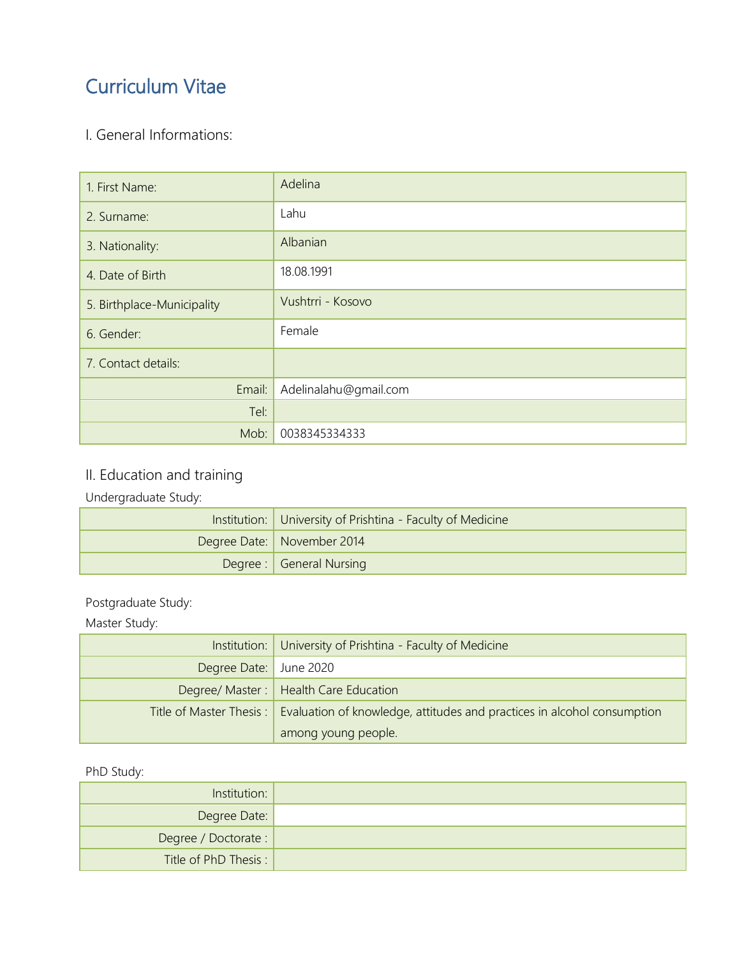# Curriculum Vitae

### I. General Informations:

| 1. First Name:             | Adelina               |
|----------------------------|-----------------------|
| 2. Surname:                | Lahu                  |
| 3. Nationality:            | Albanian              |
| 4. Date of Birth           | 18.08.1991            |
| 5. Birthplace-Municipality | Vushtrri - Kosovo     |
| 6. Gender:                 | Female                |
| 7. Contact details:        |                       |
| Email:                     | Adelinalahu@gmail.com |
| Tel:                       |                       |
| Mob:                       | 0038345334333         |

### II. Education and training

Undergraduate Study:

| Institution: University of Prishtina - Faculty of Medicine |                              |
|------------------------------------------------------------|------------------------------|
|                                                            | Degree Date:   November 2014 |
|                                                            | Degree : General Nursing     |

#### Postgraduate Study:

Master Study:

|                        | Institution: University of Prishtina - Faculty of Medicine                                        |  |
|------------------------|---------------------------------------------------------------------------------------------------|--|
| Degree Date: June 2020 |                                                                                                   |  |
|                        | Degree/ Master:   Health Care Education                                                           |  |
|                        | Title of Master Thesis:   Evaluation of knowledge, attitudes and practices in alcohol consumption |  |
|                        | among young people.                                                                               |  |

#### PhD Study:

| Institution:          |  |
|-----------------------|--|
| Degree Date:          |  |
| Degree / Doctorate :  |  |
| Title of PhD Thesis : |  |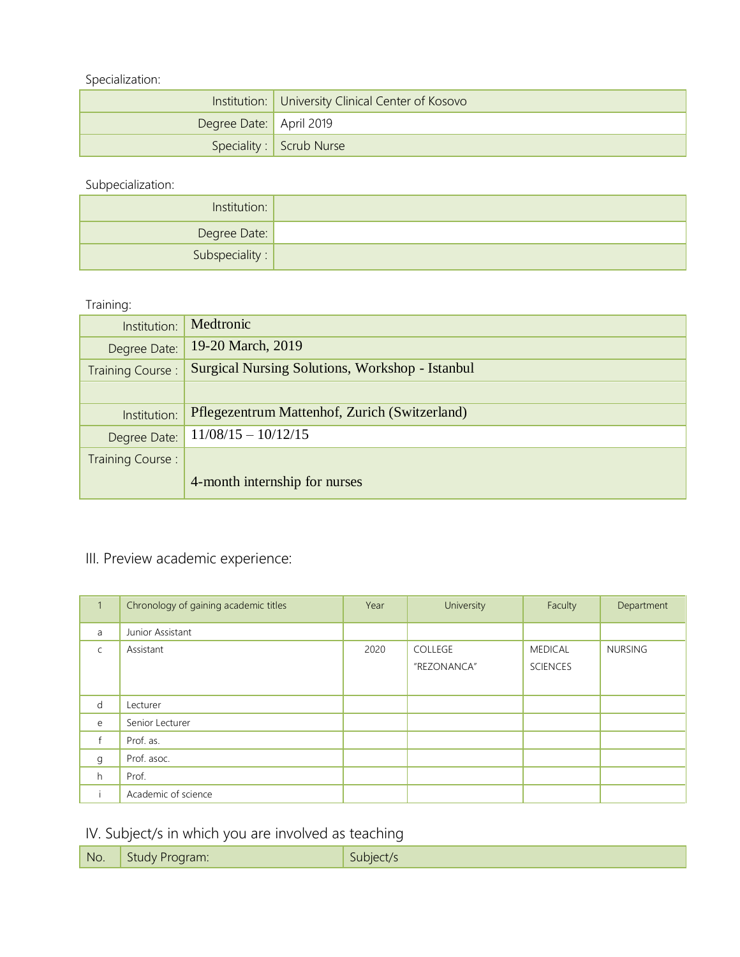Specialization:

|                         | Institution: University Clinical Center of Kosovo |
|-------------------------|---------------------------------------------------|
| Degree Date: April 2019 |                                                   |
|                         | Speciality : Scrub Nurse                          |

Subpecialization:

| Institution:            |  |
|-------------------------|--|
| Degree Date:            |  |
| Subspeciality : $\vert$ |  |

Training:

| Institution:     | Medtronic                                              |
|------------------|--------------------------------------------------------|
| Degree Date:     | 19-20 March, 2019                                      |
| Training Course: | <b>Surgical Nursing Solutions, Workshop - Istanbul</b> |
|                  |                                                        |
| Institution:     | Pflegezentrum Mattenhof, Zurich (Switzerland)          |
| Degree Date:     | $11/08/15 - 10/12/15$                                  |
| Training Course: |                                                        |
|                  | 4-month internship for nurses                          |

## III. Preview academic experience:

| $\mathbf{1}$ | Chronology of gaining academic titles | Year | University             | Faculty                           | Department     |
|--------------|---------------------------------------|------|------------------------|-----------------------------------|----------------|
| a            | Junior Assistant                      |      |                        |                                   |                |
| $\mathsf{C}$ | Assistant                             | 2020 | COLLEGE<br>"REZONANCA" | <b>MEDICAL</b><br><b>SCIENCES</b> | <b>NURSING</b> |
| d            | Lecturer                              |      |                        |                                   |                |
| e            | Senior Lecturer                       |      |                        |                                   |                |
| $\mathsf{f}$ | Prof. as.                             |      |                        |                                   |                |
| g            | Prof. asoc.                           |      |                        |                                   |                |
| h            | Prof.                                 |      |                        |                                   |                |
|              | Academic of science                   |      |                        |                                   |                |

### IV. Subject/s in which you are involved as teaching

| NO. | $\sim$<br>71 I I<br>.<br>. . | . |
|-----|------------------------------|---|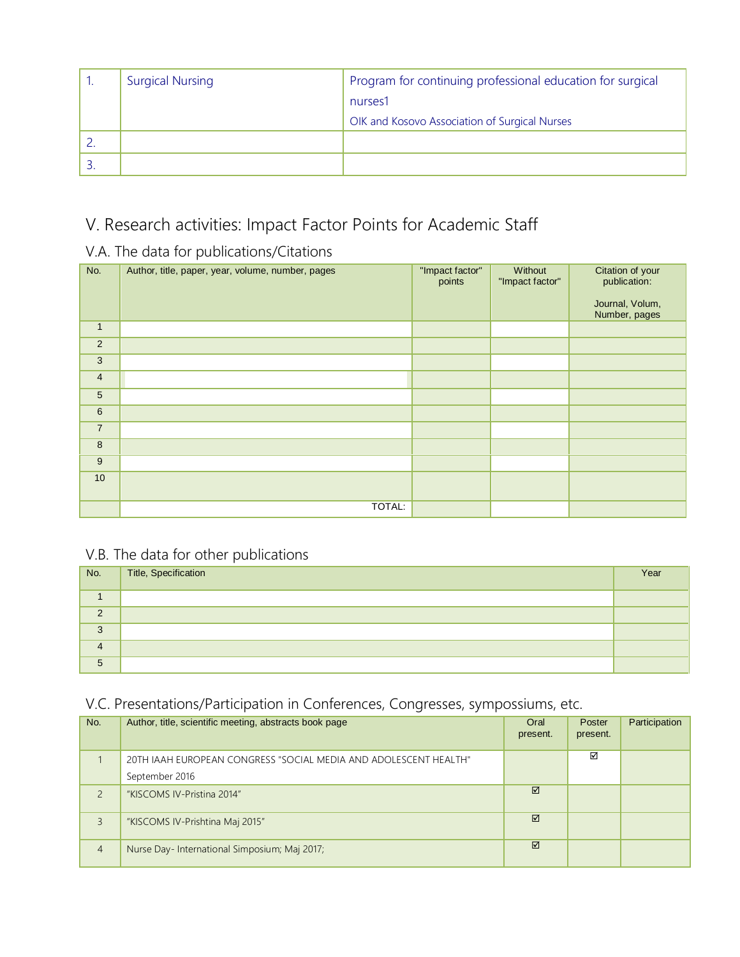| <b>Surgical Nursing</b> | Program for continuing professional education for surgical |
|-------------------------|------------------------------------------------------------|
|                         | nurses1                                                    |
|                         | OIK and Kosovo Association of Surgical Nurses              |
|                         |                                                            |
|                         |                                                            |

## V. Research activities: Impact Factor Points for Academic Staff

#### V.A. The data for publications/Citations

| No.             | Author, title, paper, year, volume, number, pages | "Impact factor"<br>points | Without<br>"Impact factor" | Citation of your<br>publication:<br>Journal, Volum,<br>Number, pages |
|-----------------|---------------------------------------------------|---------------------------|----------------------------|----------------------------------------------------------------------|
| $\mathbf{1}$    |                                                   |                           |                            |                                                                      |
| $\overline{2}$  |                                                   |                           |                            |                                                                      |
| 3               |                                                   |                           |                            |                                                                      |
| $\overline{4}$  |                                                   |                           |                            |                                                                      |
| $5\phantom{.0}$ |                                                   |                           |                            |                                                                      |
| $\,6\,$         |                                                   |                           |                            |                                                                      |
| $\overline{7}$  |                                                   |                           |                            |                                                                      |
| $\bf 8$         |                                                   |                           |                            |                                                                      |
| $\overline{9}$  |                                                   |                           |                            |                                                                      |
| 10 <sup>°</sup> |                                                   |                           |                            |                                                                      |
|                 | TOTAL:                                            |                           |                            |                                                                      |

### V.B. The data for other publications

| No.      | Title, Specification | Year |
|----------|----------------------|------|
|          |                      |      |
| $\Omega$ |                      |      |
| 3        |                      |      |
| 4        |                      |      |
| 5        |                      |      |

### V.C. Presentations/Participation in Conferences, Congresses, sympossiums, etc.

| No.            | Author, title, scientific meeting, abstracts book page                             | Oral<br>present. | Poster<br>present. | Participation |
|----------------|------------------------------------------------------------------------------------|------------------|--------------------|---------------|
|                | 20TH JAAH EUROPEAN CONGRESS "SOCIAL MEDIA AND ADOLESCENT HEALTH"<br>September 2016 |                  | ☑                  |               |
| $\overline{c}$ | "KISCOMS IV-Pristina 2014"                                                         | ☑                |                    |               |
| 3              | "KISCOMS IV-Prishtina Maj 2015"                                                    | ☑                |                    |               |
| $\overline{4}$ | Nurse Day-International Simposium; Maj 2017;                                       | ☑                |                    |               |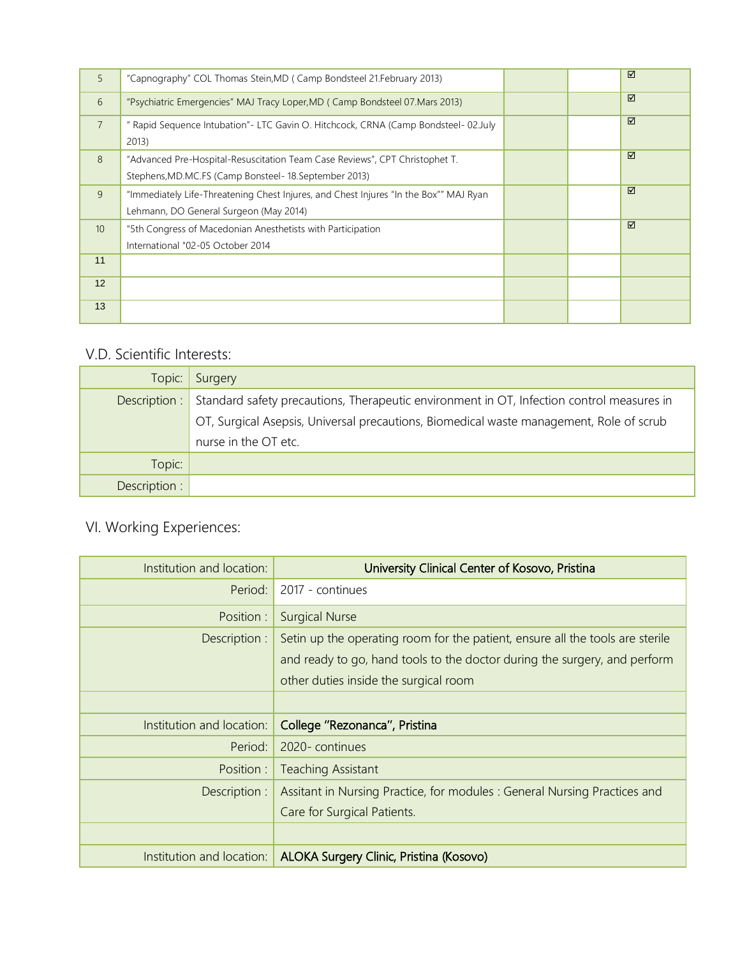| 5                | "Capnography" COL Thomas Stein, MD (Camp Bondsteel 21. February 2013)                                                                  |  | ☑ |
|------------------|----------------------------------------------------------------------------------------------------------------------------------------|--|---|
| 6                | "Psychiatric Emergencies" MAJ Tracy Loper, MD (Camp Bondsteel 07. Mars 2013)                                                           |  | ☑ |
| $\overline{7}$   | " Rapid Sequence Intubation"- LTC Gavin O. Hitchcock, CRNA (Camp Bondsteel- 02.July<br>2013)                                           |  | ☑ |
| 8                | "Advanced Pre-Hospital-Resuscitation Team Case Reviews", CPT Christophet T.<br>Stephens, MD.MC.FS (Camp Bonsteel - 18. September 2013) |  | ☑ |
| 9                | "Immediately Life-Threatening Chest Injures, and Chest Injures "In the Box"" MAJ Ryan<br>Lehmann, DO General Surgeon (May 2014)        |  | ☑ |
| 10 <sup>10</sup> | "5th Congress of Macedonian Anesthetists with Participation<br>International "02-05 October 2014                                       |  | ☑ |
| 11               |                                                                                                                                        |  |   |
| 12               |                                                                                                                                        |  |   |
| 13               |                                                                                                                                        |  |   |

### V.D. Scientific Interests:

| Topic:        | Surgery                                                                                   |
|---------------|-------------------------------------------------------------------------------------------|
| Description : | Standard safety precautions, Therapeutic environment in OT, Infection control measures in |
|               | OT, Surgical Asepsis, Universal precautions, Biomedical waste management, Role of scrub   |
|               | nurse in the OT etc.                                                                      |
| Topic:        |                                                                                           |
| Description : |                                                                                           |

## VI. Working Experiences:

| Institution and location: | University Clinical Center of Kosovo, Pristina                                |
|---------------------------|-------------------------------------------------------------------------------|
| Period:                   | 2017 - continues                                                              |
| Position :                | <b>Surgical Nurse</b>                                                         |
| Description :             | Setin up the operating room for the patient, ensure all the tools are sterile |
|                           | and ready to go, hand tools to the doctor during the surgery, and perform     |
|                           | other duties inside the surgical room                                         |
|                           |                                                                               |
| Institution and location: | College "Rezonanca", Pristina                                                 |
| Period:                   | 2020-continues                                                                |
| Position :                | <b>Teaching Assistant</b>                                                     |
| Description :             | Assitant in Nursing Practice, for modules : General Nursing Practices and     |
|                           | Care for Surgical Patients.                                                   |
|                           |                                                                               |
|                           | Institution and location:   ALOKA Surgery Clinic, Pristina (Kosovo)           |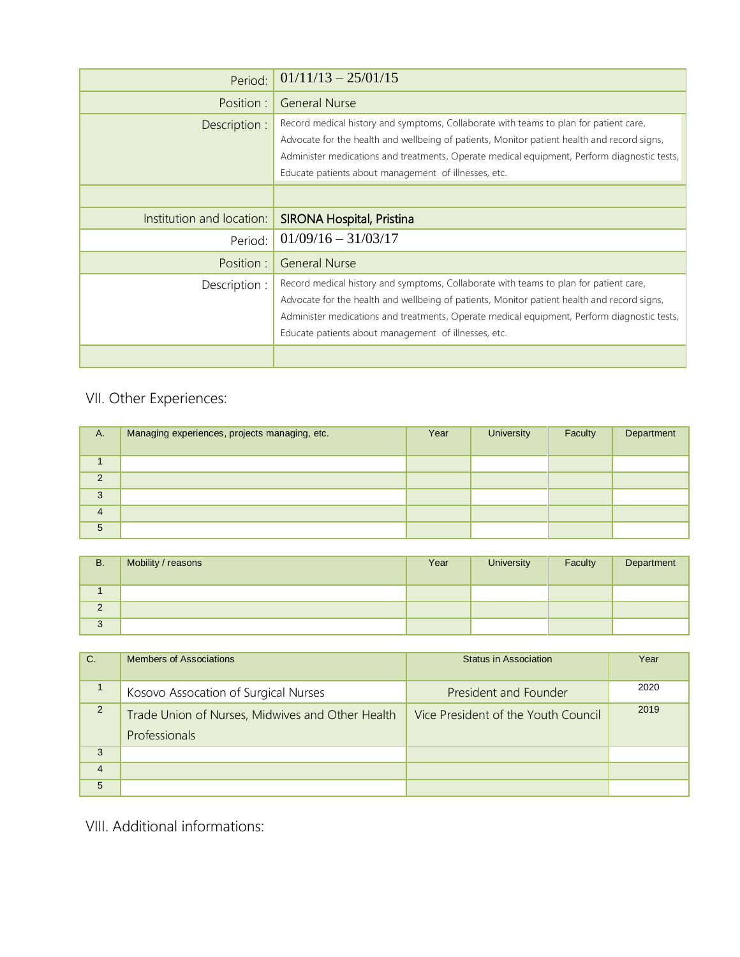| Period:                   | $01/11/13 - 25/01/15$                                                                                                                                                                                                                                                                                                                       |
|---------------------------|---------------------------------------------------------------------------------------------------------------------------------------------------------------------------------------------------------------------------------------------------------------------------------------------------------------------------------------------|
| Position:                 | <b>General Nurse</b>                                                                                                                                                                                                                                                                                                                        |
| Description :             | Record medical history and symptoms, Collaborate with teams to plan for patient care,<br>Advocate for the health and wellbeing of patients, Monitor patient health and record signs,<br>Administer medications and treatments, Operate medical equipment, Perform diagnostic tests,<br>Educate patients about management of illnesses, etc. |
|                           |                                                                                                                                                                                                                                                                                                                                             |
| Institution and location: | <b>SIRONA Hospital, Pristina</b>                                                                                                                                                                                                                                                                                                            |
| Period:                   | $01/09/16 - 31/03/17$                                                                                                                                                                                                                                                                                                                       |
| Position:                 | <b>General Nurse</b>                                                                                                                                                                                                                                                                                                                        |
| Description :             | Record medical history and symptoms, Collaborate with teams to plan for patient care,<br>Advocate for the health and wellbeing of patients, Monitor patient health and record signs,<br>Administer medications and treatments, Operate medical equipment, Perform diagnostic tests,<br>Educate patients about management of illnesses, etc. |
|                           |                                                                                                                                                                                                                                                                                                                                             |

## VII. Other Experiences:

| A.             | Managing experiences, projects managing, etc. | Year | <b>University</b> | Faculty | Department |
|----------------|-----------------------------------------------|------|-------------------|---------|------------|
|                |                                               |      |                   |         |            |
| 2              |                                               |      |                   |         |            |
| 3              |                                               |      |                   |         |            |
| $\overline{4}$ |                                               |      |                   |         |            |
| 5              |                                               |      |                   |         |            |

| <b>B.</b>     | Mobility / reasons | Year | <b>University</b> | Faculty | Department |
|---------------|--------------------|------|-------------------|---------|------------|
|               |                    |      |                   |         |            |
| $\Omega$<br>∠ |                    |      |                   |         |            |
| 3             |                    |      |                   |         |            |

| $C$ .          | Members of Associations                                           | <b>Status in Association</b>        | Year |
|----------------|-------------------------------------------------------------------|-------------------------------------|------|
|                | Kosovo Assocation of Surgical Nurses                              | President and Founder               | 2020 |
| 2              | Trade Union of Nurses, Midwives and Other Health<br>Professionals | Vice President of the Youth Council | 2019 |
| 3              |                                                                   |                                     |      |
| $\overline{4}$ |                                                                   |                                     |      |
| 5              |                                                                   |                                     |      |

VIII. Additional informations: